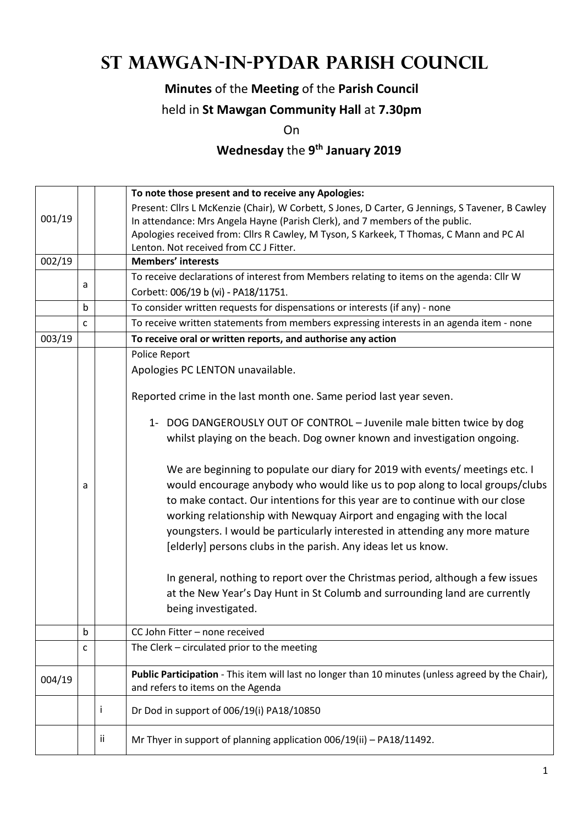# **St Mawgan-in-Pydar Parish Council**

## **Minutes** of the **Meeting** of the **Parish Council**

## held in **St Mawgan Community Hall** at **7.30pm**

On

#### **Wednesday** the **9 th January 2019**

|        |              | To note those present and to receive any Apologies: |                                                                                                    |  |  |
|--------|--------------|-----------------------------------------------------|----------------------------------------------------------------------------------------------------|--|--|
|        |              |                                                     | Present: Cllrs L McKenzie (Chair), W Corbett, S Jones, D Carter, G Jennings, S Tavener, B Cawley   |  |  |
| 001/19 |              |                                                     | In attendance: Mrs Angela Hayne (Parish Clerk), and 7 members of the public.                       |  |  |
|        |              |                                                     | Apologies received from: Cllrs R Cawley, M Tyson, S Karkeek, T Thomas, C Mann and PC Al            |  |  |
|        |              |                                                     | Lenton. Not received from CC J Fitter.                                                             |  |  |
| 002/19 |              |                                                     | <b>Members' interests</b>                                                                          |  |  |
|        | a            |                                                     | To receive declarations of interest from Members relating to items on the agenda: Cllr W           |  |  |
|        |              |                                                     | Corbett: 006/19 b (vi) - PA18/11751.                                                               |  |  |
|        | b            |                                                     | To consider written requests for dispensations or interests (if any) - none                        |  |  |
|        | $\mathsf{C}$ |                                                     | To receive written statements from members expressing interests in an agenda item - none           |  |  |
| 003/19 |              |                                                     | To receive oral or written reports, and authorise any action                                       |  |  |
|        |              |                                                     | Police Report                                                                                      |  |  |
|        |              |                                                     | Apologies PC LENTON unavailable.                                                                   |  |  |
|        |              |                                                     | Reported crime in the last month one. Same period last year seven.                                 |  |  |
|        |              |                                                     | 1- DOG DANGEROUSLY OUT OF CONTROL - Juvenile male bitten twice by dog                              |  |  |
|        |              |                                                     | whilst playing on the beach. Dog owner known and investigation ongoing.                            |  |  |
|        |              |                                                     |                                                                                                    |  |  |
|        |              |                                                     | We are beginning to populate our diary for 2019 with events/ meetings etc. I                       |  |  |
|        | a            |                                                     | would encourage anybody who would like us to pop along to local groups/clubs                       |  |  |
|        |              |                                                     | to make contact. Our intentions for this year are to continue with our close                       |  |  |
|        |              |                                                     | working relationship with Newquay Airport and engaging with the local                              |  |  |
|        |              |                                                     | youngsters. I would be particularly interested in attending any more mature                        |  |  |
|        |              |                                                     | [elderly] persons clubs in the parish. Any ideas let us know.                                      |  |  |
|        |              |                                                     |                                                                                                    |  |  |
|        |              |                                                     | In general, nothing to report over the Christmas period, although a few issues                     |  |  |
|        |              |                                                     | at the New Year's Day Hunt in St Columb and surrounding land are currently                         |  |  |
|        |              |                                                     | being investigated.                                                                                |  |  |
|        | b            |                                                     | CC John Fitter - none received                                                                     |  |  |
|        | c            |                                                     | The Clerk - circulated prior to the meeting                                                        |  |  |
|        |              |                                                     |                                                                                                    |  |  |
| 004/19 |              |                                                     | Public Participation - This item will last no longer than 10 minutes (unless agreed by the Chair), |  |  |
|        |              |                                                     | and refers to items on the Agenda                                                                  |  |  |
|        |              | i                                                   | Dr Dod in support of 006/19(i) PA18/10850                                                          |  |  |
|        |              | ii                                                  | Mr Thyer in support of planning application 006/19(ii) - PA18/11492.                               |  |  |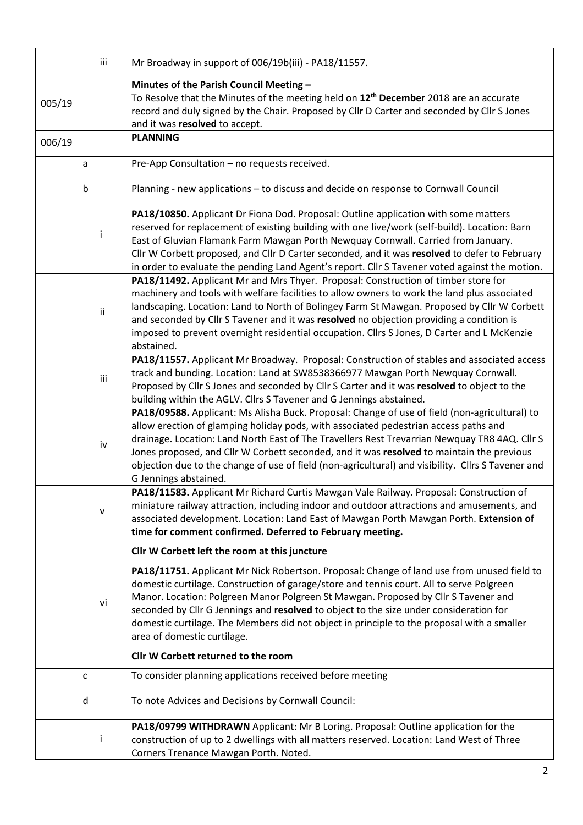|        |              | iii          | Mr Broadway in support of 006/19b(iii) - PA18/11557.                                                                                                                                                                                                                                                                                                                                                                                                                                                               |
|--------|--------------|--------------|--------------------------------------------------------------------------------------------------------------------------------------------------------------------------------------------------------------------------------------------------------------------------------------------------------------------------------------------------------------------------------------------------------------------------------------------------------------------------------------------------------------------|
| 005/19 |              |              | Minutes of the Parish Council Meeting -<br>To Resolve that the Minutes of the meeting held on 12 <sup>th</sup> December 2018 are an accurate<br>record and duly signed by the Chair. Proposed by Cllr D Carter and seconded by Cllr S Jones<br>and it was resolved to accept.                                                                                                                                                                                                                                      |
| 006/19 |              |              | <b>PLANNING</b>                                                                                                                                                                                                                                                                                                                                                                                                                                                                                                    |
|        | a            |              | Pre-App Consultation - no requests received.                                                                                                                                                                                                                                                                                                                                                                                                                                                                       |
|        | $\mathsf{b}$ |              | Planning - new applications - to discuss and decide on response to Cornwall Council                                                                                                                                                                                                                                                                                                                                                                                                                                |
|        |              | Ť            | PA18/10850. Applicant Dr Fiona Dod. Proposal: Outline application with some matters<br>reserved for replacement of existing building with one live/work (self-build). Location: Barn<br>East of Gluvian Flamank Farm Mawgan Porth Newquay Cornwall. Carried from January.<br>Cllr W Corbett proposed, and Cllr D Carter seconded, and it was resolved to defer to February<br>in order to evaluate the pending Land Agent's report. Cllr S Tavener voted against the motion.                                       |
|        |              | ii           | PA18/11492. Applicant Mr and Mrs Thyer. Proposal: Construction of timber store for<br>machinery and tools with welfare facilities to allow owners to work the land plus associated<br>landscaping. Location: Land to North of Bolingey Farm St Mawgan. Proposed by Cllr W Corbett<br>and seconded by Cllr S Tavener and it was resolved no objection providing a condition is<br>imposed to prevent overnight residential occupation. Cllrs S Jones, D Carter and L McKenzie<br>abstained.                         |
|        |              | iii          | PA18/11557. Applicant Mr Broadway. Proposal: Construction of stables and associated access<br>track and bunding. Location: Land at SW8538366977 Mawgan Porth Newquay Cornwall.<br>Proposed by Cllr S Jones and seconded by Cllr S Carter and it was resolved to object to the<br>building within the AGLV. Cllrs S Tavener and G Jennings abstained.                                                                                                                                                               |
|        |              | iv           | PA18/09588. Applicant: Ms Alisha Buck. Proposal: Change of use of field (non-agricultural) to<br>allow erection of glamping holiday pods, with associated pedestrian access paths and<br>drainage. Location: Land North East of The Travellers Rest Trevarrian Newquay TR8 4AQ. Cllr S<br>Jones proposed, and Cllr W Corbett seconded, and it was resolved to maintain the previous<br>objection due to the change of use of field (non-agricultural) and visibility. Cllrs S Tavener and<br>G Jennings abstained. |
|        | ${\sf v}$    |              | PA18/11583. Applicant Mr Richard Curtis Mawgan Vale Railway. Proposal: Construction of<br>miniature railway attraction, including indoor and outdoor attractions and amusements, and<br>associated development. Location: Land East of Mawgan Porth Mawgan Porth. Extension of<br>time for comment confirmed. Deferred to February meeting.                                                                                                                                                                        |
|        |              |              | Cllr W Corbett left the room at this juncture                                                                                                                                                                                                                                                                                                                                                                                                                                                                      |
|        |              | vi           | PA18/11751. Applicant Mr Nick Robertson. Proposal: Change of land use from unused field to<br>domestic curtilage. Construction of garage/store and tennis court. All to serve Polgreen<br>Manor. Location: Polgreen Manor Polgreen St Mawgan. Proposed by Cllr S Tavener and<br>seconded by Cllr G Jennings and resolved to object to the size under consideration for<br>domestic curtilage. The Members did not object in principle to the proposal with a smaller<br>area of domestic curtilage.                |
|        |              |              | Cllr W Corbett returned to the room                                                                                                                                                                                                                                                                                                                                                                                                                                                                                |
|        | C            |              | To consider planning applications received before meeting                                                                                                                                                                                                                                                                                                                                                                                                                                                          |
|        | d            |              | To note Advices and Decisions by Cornwall Council:                                                                                                                                                                                                                                                                                                                                                                                                                                                                 |
|        |              | $\mathbf{I}$ | PA18/09799 WITHDRAWN Applicant: Mr B Loring. Proposal: Outline application for the<br>construction of up to 2 dwellings with all matters reserved. Location: Land West of Three<br>Corners Trenance Mawgan Porth. Noted.                                                                                                                                                                                                                                                                                           |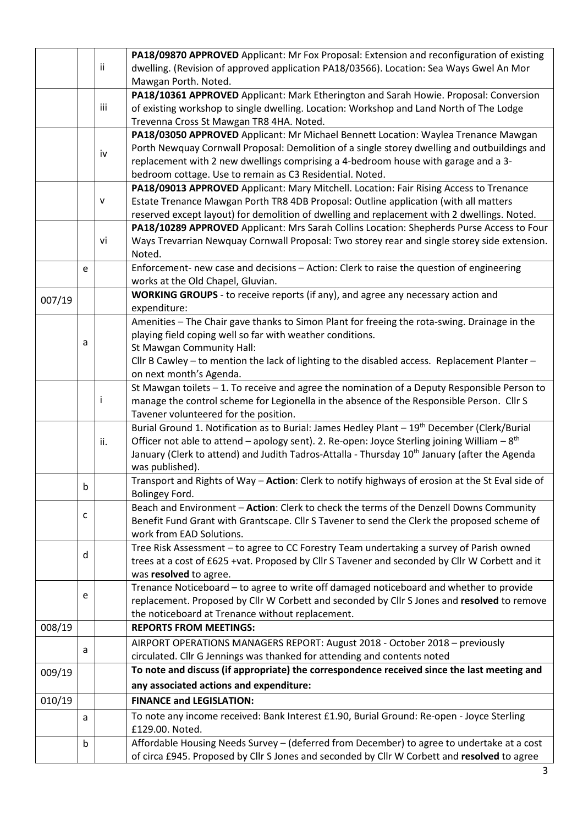|        |             |     | PA18/09870 APPROVED Applicant: Mr Fox Proposal: Extension and reconfiguration of existing                         |  |
|--------|-------------|-----|-------------------------------------------------------------------------------------------------------------------|--|
|        |             | ij. | dwelling. (Revision of approved application PA18/03566). Location: Sea Ways Gwel An Mor                           |  |
|        |             |     | Mawgan Porth. Noted.                                                                                              |  |
|        |             |     | PA18/10361 APPROVED Applicant: Mark Etherington and Sarah Howie. Proposal: Conversion                             |  |
|        |             | iii | of existing workshop to single dwelling. Location: Workshop and Land North of The Lodge                           |  |
|        |             |     | Trevenna Cross St Mawgan TR8 4HA. Noted.                                                                          |  |
|        |             |     | PA18/03050 APPROVED Applicant: Mr Michael Bennett Location: Waylea Trenance Mawgan                                |  |
|        |             | iv  | Porth Newquay Cornwall Proposal: Demolition of a single storey dwelling and outbuildings and                      |  |
|        |             |     | replacement with 2 new dwellings comprising a 4-bedroom house with garage and a 3-                                |  |
|        |             |     | bedroom cottage. Use to remain as C3 Residential. Noted.                                                          |  |
|        |             |     | PA18/09013 APPROVED Applicant: Mary Mitchell. Location: Fair Rising Access to Trenance                            |  |
|        |             | v   | Estate Trenance Mawgan Porth TR8 4DB Proposal: Outline application (with all matters                              |  |
|        |             |     | reserved except layout) for demolition of dwelling and replacement with 2 dwellings. Noted.                       |  |
|        |             |     | PA18/10289 APPROVED Applicant: Mrs Sarah Collins Location: Shepherds Purse Access to Four                         |  |
|        |             | vi  | Ways Trevarrian Newquay Cornwall Proposal: Two storey rear and single storey side extension.                      |  |
|        |             |     | Noted.                                                                                                            |  |
|        | e           |     | Enforcement- new case and decisions - Action: Clerk to raise the question of engineering                          |  |
|        |             |     | works at the Old Chapel, Gluvian.                                                                                 |  |
| 007/19 |             |     | WORKING GROUPS - to receive reports (if any), and agree any necessary action and                                  |  |
|        |             |     | expenditure:                                                                                                      |  |
|        |             |     | Amenities - The Chair gave thanks to Simon Plant for freeing the rota-swing. Drainage in the                      |  |
|        | a           |     | playing field coping well so far with weather conditions.                                                         |  |
|        |             |     | St Mawgan Community Hall:                                                                                         |  |
|        |             |     | Cllr B Cawley - to mention the lack of lighting to the disabled access. Replacement Planter -                     |  |
|        |             |     | on next month's Agenda.                                                                                           |  |
|        |             |     | St Mawgan toilets - 1. To receive and agree the nomination of a Deputy Responsible Person to                      |  |
|        |             | Ť   | manage the control scheme for Legionella in the absence of the Responsible Person. Cllr S                         |  |
|        |             |     | Tavener volunteered for the position.                                                                             |  |
|        |             |     | Burial Ground 1. Notification as to Burial: James Hedley Plant - 19th December (Clerk/Burial                      |  |
|        |             | ii. | Officer not able to attend – apology sent). 2. Re-open: Joyce Sterling joining William – $8th$                    |  |
|        |             |     | January (Clerk to attend) and Judith Tadros-Attalla - Thursday 10 <sup>th</sup> January (after the Agenda         |  |
|        |             |     | was published).                                                                                                   |  |
|        | Ŋ.          |     | Transport and Rights of Way - Action: Clerk to notify highways of erosion at the St Eval side of                  |  |
|        |             |     | Bolingey Ford.                                                                                                    |  |
|        | c           |     | Beach and Environment - Action: Clerk to check the terms of the Denzell Downs Community                           |  |
|        |             |     | Benefit Fund Grant with Grantscape. Cllr S Tavener to send the Clerk the proposed scheme of                       |  |
|        |             |     | work from EAD Solutions.                                                                                          |  |
|        | d           |     | Tree Risk Assessment - to agree to CC Forestry Team undertaking a survey of Parish owned                          |  |
|        |             |     | trees at a cost of £625 +vat. Proposed by Cllr S Tavener and seconded by Cllr W Corbett and it                    |  |
|        |             |     | was resolved to agree.<br>Trenance Noticeboard - to agree to write off damaged noticeboard and whether to provide |  |
|        | e           |     | replacement. Proposed by Cllr W Corbett and seconded by Cllr S Jones and resolved to remove                       |  |
|        |             |     | the noticeboard at Trenance without replacement.                                                                  |  |
| 008/19 |             |     | <b>REPORTS FROM MEETINGS:</b>                                                                                     |  |
|        |             |     |                                                                                                                   |  |
|        | a           |     | AIRPORT OPERATIONS MANAGERS REPORT: August 2018 - October 2018 - previously                                       |  |
|        |             |     | circulated. Cllr G Jennings was thanked for attending and contents noted                                          |  |
| 009/19 |             |     | To note and discuss (if appropriate) the correspondence received since the last meeting and                       |  |
|        |             |     | any associated actions and expenditure:                                                                           |  |
| 010/19 |             |     | <b>FINANCE and LEGISLATION:</b>                                                                                   |  |
|        | a           |     | To note any income received: Bank Interest £1.90, Burial Ground: Re-open - Joyce Sterling<br>£129.00. Noted.      |  |
|        | $\mathsf b$ |     | Affordable Housing Needs Survey - (deferred from December) to agree to undertake at a cost                        |  |
|        |             |     | of circa £945. Proposed by Cllr S Jones and seconded by Cllr W Corbett and resolved to agree                      |  |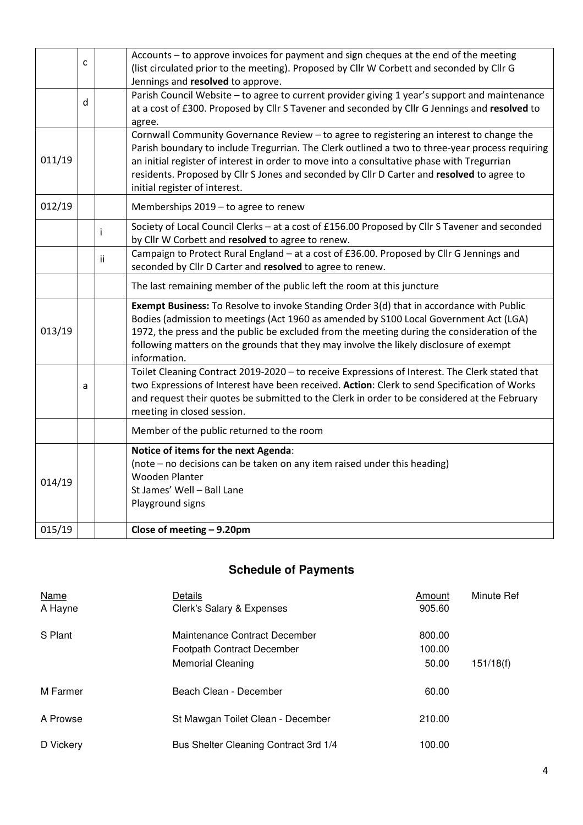|                                                                                                                | Accounts - to approve invoices for payment and sign cheques at the end of the meeting<br>(list circulated prior to the meeting). Proposed by Cllr W Corbett and seconded by Cllr G |    |                                                                                                                                                                                          |  |  |
|----------------------------------------------------------------------------------------------------------------|------------------------------------------------------------------------------------------------------------------------------------------------------------------------------------|----|------------------------------------------------------------------------------------------------------------------------------------------------------------------------------------------|--|--|
|                                                                                                                |                                                                                                                                                                                    |    | Jennings and resolved to approve.                                                                                                                                                        |  |  |
|                                                                                                                |                                                                                                                                                                                    |    | Parish Council Website - to agree to current provider giving 1 year's support and maintenance                                                                                            |  |  |
|                                                                                                                | d                                                                                                                                                                                  |    | at a cost of £300. Proposed by Cllr S Tavener and seconded by Cllr G Jennings and resolved to                                                                                            |  |  |
|                                                                                                                |                                                                                                                                                                                    |    | agree.                                                                                                                                                                                   |  |  |
|                                                                                                                |                                                                                                                                                                                    |    | Cornwall Community Governance Review - to agree to registering an interest to change the                                                                                                 |  |  |
| 011/19                                                                                                         |                                                                                                                                                                                    |    | Parish boundary to include Tregurrian. The Clerk outlined a two to three-year process requiring                                                                                          |  |  |
|                                                                                                                |                                                                                                                                                                                    |    | an initial register of interest in order to move into a consultative phase with Tregurrian<br>residents. Proposed by Cllr S Jones and seconded by Cllr D Carter and resolved to agree to |  |  |
|                                                                                                                |                                                                                                                                                                                    |    | initial register of interest.                                                                                                                                                            |  |  |
|                                                                                                                |                                                                                                                                                                                    |    |                                                                                                                                                                                          |  |  |
| 012/19                                                                                                         |                                                                                                                                                                                    |    | Memberships 2019 - to agree to renew                                                                                                                                                     |  |  |
|                                                                                                                |                                                                                                                                                                                    | i  | Society of Local Council Clerks - at a cost of £156.00 Proposed by Cllr S Tavener and seconded                                                                                           |  |  |
|                                                                                                                |                                                                                                                                                                                    |    | by Cllr W Corbett and resolved to agree to renew.                                                                                                                                        |  |  |
|                                                                                                                |                                                                                                                                                                                    | ii | Campaign to Protect Rural England - at a cost of £36.00. Proposed by Cllr G Jennings and                                                                                                 |  |  |
|                                                                                                                |                                                                                                                                                                                    |    | seconded by Cllr D Carter and resolved to agree to renew.                                                                                                                                |  |  |
|                                                                                                                |                                                                                                                                                                                    |    | The last remaining member of the public left the room at this juncture                                                                                                                   |  |  |
|                                                                                                                |                                                                                                                                                                                    |    | Exempt Business: To Resolve to invoke Standing Order 3(d) that in accordance with Public                                                                                                 |  |  |
|                                                                                                                |                                                                                                                                                                                    |    | Bodies (admission to meetings (Act 1960 as amended by S100 Local Government Act (LGA)                                                                                                    |  |  |
| 013/19                                                                                                         |                                                                                                                                                                                    |    | 1972, the press and the public be excluded from the meeting during the consideration of the                                                                                              |  |  |
|                                                                                                                |                                                                                                                                                                                    |    | following matters on the grounds that they may involve the likely disclosure of exempt                                                                                                   |  |  |
| information.<br>Toilet Cleaning Contract 2019-2020 - to receive Expressions of Interest. The Clerk stated that |                                                                                                                                                                                    |    |                                                                                                                                                                                          |  |  |
|                                                                                                                | a                                                                                                                                                                                  |    | two Expressions of Interest have been received. Action: Clerk to send Specification of Works                                                                                             |  |  |
|                                                                                                                |                                                                                                                                                                                    |    | and request their quotes be submitted to the Clerk in order to be considered at the February                                                                                             |  |  |
|                                                                                                                |                                                                                                                                                                                    |    | meeting in closed session.                                                                                                                                                               |  |  |
|                                                                                                                |                                                                                                                                                                                    |    | Member of the public returned to the room                                                                                                                                                |  |  |
|                                                                                                                |                                                                                                                                                                                    |    | Notice of items for the next Agenda:                                                                                                                                                     |  |  |
|                                                                                                                |                                                                                                                                                                                    |    | (note – no decisions can be taken on any item raised under this heading)                                                                                                                 |  |  |
| 014/19                                                                                                         |                                                                                                                                                                                    |    | <b>Wooden Planter</b>                                                                                                                                                                    |  |  |
|                                                                                                                |                                                                                                                                                                                    |    | St James' Well - Ball Lane                                                                                                                                                               |  |  |
|                                                                                                                |                                                                                                                                                                                    |    | Playground signs                                                                                                                                                                         |  |  |
| 015/19                                                                                                         |                                                                                                                                                                                    |    | Close of meeting - 9.20pm                                                                                                                                                                |  |  |
|                                                                                                                |                                                                                                                                                                                    |    |                                                                                                                                                                                          |  |  |

# **Schedule of Payments**

| Name<br>A Hayne | Details<br>Clerk's Salary & Expenses                                                           | Amount<br>905.60          | Minute Ref |
|-----------------|------------------------------------------------------------------------------------------------|---------------------------|------------|
| S Plant         | Maintenance Contract December<br><b>Footpath Contract December</b><br><b>Memorial Cleaning</b> | 800.00<br>100.00<br>50.00 | 151/18(f)  |
| M Farmer        | Beach Clean - December                                                                         | 60.00                     |            |
| A Prowse        | St Mawgan Toilet Clean - December                                                              | 210.00                    |            |
| D Vickery       | Bus Shelter Cleaning Contract 3rd 1/4                                                          | 100.00                    |            |